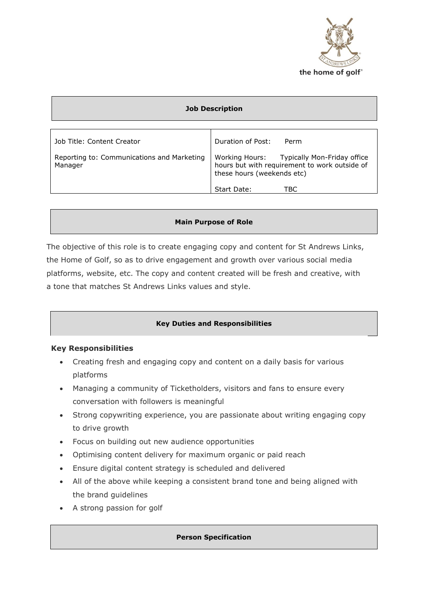

| <b>Job Description</b>                                                              |                                                                                                                                                        |  |  |
|-------------------------------------------------------------------------------------|--------------------------------------------------------------------------------------------------------------------------------------------------------|--|--|
| Job Title: Content Creator<br>Reporting to: Communications and Marketing<br>Manager | Duration of Post:<br>Perm<br>Working Hours: Typically Mon-Friday office<br>hours but with requirement to work outside of<br>these hours (weekends etc) |  |  |
|                                                                                     | TBC<br>Start Date:                                                                                                                                     |  |  |

### **Main Purpose of Role**

The objective of this role is to create engaging copy and content for St Andrews Links, the Home of Golf, so as to drive engagement and growth over various social media platforms, website, etc. The copy and content created will be fresh and creative, with a tone that matches St Andrews Links values and style.

# **Key Duties and Responsibilities**

# **Key Responsibilities**

- Creating fresh and engaging copy and content on a daily basis for various platforms
- Managing a community of Ticketholders, visitors and fans to ensure every conversation with followers is meaningful
- Strong copywriting experience, you are passionate about writing engaging copy to drive growth
- Focus on building out new audience opportunities
- Optimising content delivery for maximum organic or paid reach
- Ensure digital content strategy is scheduled and delivered
- All of the above while keeping a consistent brand tone and being aligned with the brand guidelines
- A strong passion for golf

#### **Person Specification**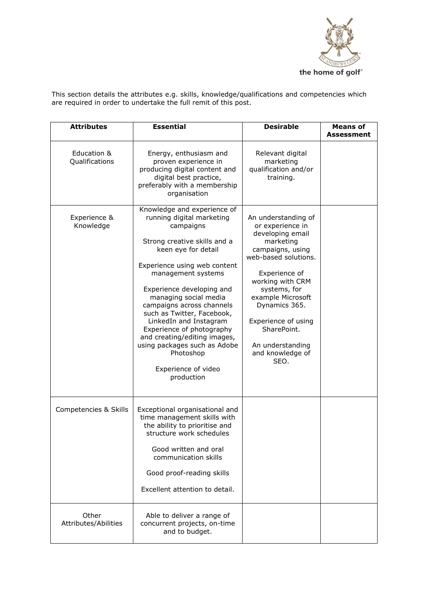

This section details the attributes e.g. skills, knowledge/qualifications and competencies which are required in order to undertake the full remit of this post.

| <b>Attributes</b>             | <b>Essential</b>                                                                                                                                                                                                                                                                                                                                                                                                                                                             | <b>Desirable</b>                                                                                                                                                                                                                                                                                      | <b>Means of</b><br>Assessment |
|-------------------------------|------------------------------------------------------------------------------------------------------------------------------------------------------------------------------------------------------------------------------------------------------------------------------------------------------------------------------------------------------------------------------------------------------------------------------------------------------------------------------|-------------------------------------------------------------------------------------------------------------------------------------------------------------------------------------------------------------------------------------------------------------------------------------------------------|-------------------------------|
| Education &<br>Qualifications | Energy, enthusiasm and<br>proven experience in<br>producing digital content and<br>digital best practice,<br>preferably with a membership<br>organisation                                                                                                                                                                                                                                                                                                                    | Relevant digital<br>marketing<br>qualification and/or<br>training.                                                                                                                                                                                                                                    |                               |
| Experience &<br>Knowledge     | Knowledge and experience of<br>running digital marketing<br>campaigns<br>Strong creative skills and a<br>keen eye for detail<br>Experience using web content<br>management systems<br>Experience developing and<br>managing social media<br>campaigns across channels<br>such as Twitter, Facebook,<br>LinkedIn and Instagram<br>Experience of photography<br>and creating/editing images,<br>using packages such as Adobe<br>Photoshop<br>Experience of video<br>production | An understanding of<br>or experience in<br>developing email<br>marketing<br>campaigns, using<br>web-based solutions.<br>Experience of<br>working with CRM<br>systems, for<br>example Microsoft<br>Dynamics 365.<br>Experience of using<br>SharePoint.<br>An understanding<br>and knowledge of<br>SEO. |                               |
| Competencies & Skills         | Exceptional organisational and<br>time management skills with<br>the ability to prioritise and<br>structure work schedules<br>Good written and oral<br>communication skills<br>Good proof-reading skills<br>Excellent attention to detail.                                                                                                                                                                                                                                   |                                                                                                                                                                                                                                                                                                       |                               |
| Other<br>Attributes/Abilities | Able to deliver a range of<br>concurrent projects, on-time<br>and to budget.                                                                                                                                                                                                                                                                                                                                                                                                 |                                                                                                                                                                                                                                                                                                       |                               |